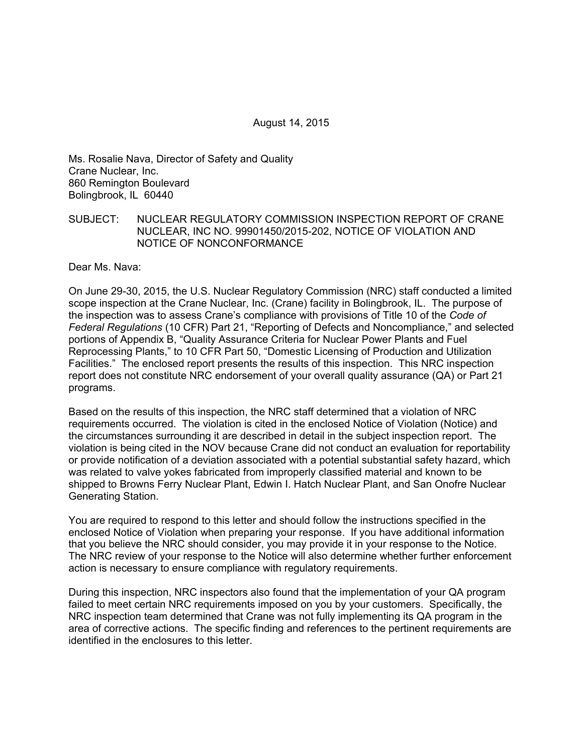August 14, 2015

Ms. Rosalie Nava, Director of Safety and Quality Crane Nuclear, Inc. 860 Remington Boulevard Bolingbrook, IL 60440

### SUBJECT: NUCLEAR REGULATORY COMMISSION INSPECTION REPORT OF CRANE NUCLEAR, INC NO. 99901450/2015-202, NOTICE OF VIOLATION AND NOTICE OF NONCONFORMANCE

Dear Ms. Nava:

On June 29-30, 2015, the U.S. Nuclear Regulatory Commission (NRC) staff conducted a limited scope inspection at the Crane Nuclear, Inc. (Crane) facility in Bolingbrook, IL. The purpose of the inspection was to assess Crane's compliance with provisions of Title 10 of the *Code of Federal Regulations* (10 CFR) Part 21, "Reporting of Defects and Noncompliance," and selected portions of Appendix B, "Quality Assurance Criteria for Nuclear Power Plants and Fuel Reprocessing Plants," to 10 CFR Part 50, "Domestic Licensing of Production and Utilization Facilities." The enclosed report presents the results of this inspection. This NRC inspection report does not constitute NRC endorsement of your overall quality assurance (QA) or Part 21 programs.

Based on the results of this inspection, the NRC staff determined that a violation of NRC requirements occurred. The violation is cited in the enclosed Notice of Violation (Notice) and the circumstances surrounding it are described in detail in the subject inspection report. The violation is being cited in the NOV because Crane did not conduct an evaluation for reportability or provide notification of a deviation associated with a potential substantial safety hazard, which was related to valve yokes fabricated from improperly classified material and known to be shipped to Browns Ferry Nuclear Plant, Edwin I. Hatch Nuclear Plant, and San Onofre Nuclear Generating Station.

You are required to respond to this letter and should follow the instructions specified in the enclosed Notice of Violation when preparing your response. If you have additional information that you believe the NRC should consider, you may provide it in your response to the Notice. The NRC review of your response to the Notice will also determine whether further enforcement action is necessary to ensure compliance with regulatory requirements.

During this inspection, NRC inspectors also found that the implementation of your QA program failed to meet certain NRC requirements imposed on you by your customers. Specifically, the NRC inspection team determined that Crane was not fully implementing its QA program in the area of corrective actions. The specific finding and references to the pertinent requirements are identified in the enclosures to this letter.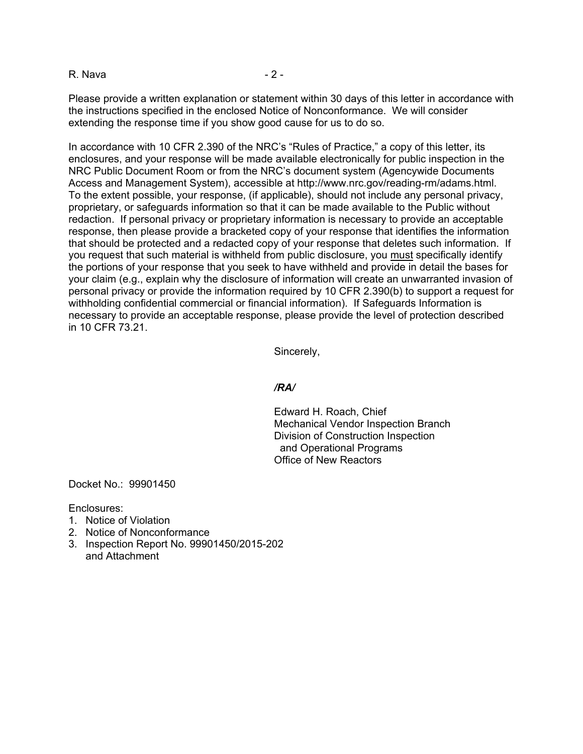R. Nava - 2 -

Please provide a written explanation or statement within 30 days of this letter in accordance with the instructions specified in the enclosed Notice of Nonconformance. We will consider extending the response time if you show good cause for us to do so.

In accordance with 10 CFR 2.390 of the NRC's "Rules of Practice," a copy of this letter, its enclosures, and your response will be made available electronically for public inspection in the NRC Public Document Room or from the NRC's document system (Agencywide Documents Access and Management System), accessible at http://www.nrc.gov/reading-rm/adams.html. To the extent possible, your response, (if applicable), should not include any personal privacy, proprietary, or safeguards information so that it can be made available to the Public without redaction. If personal privacy or proprietary information is necessary to provide an acceptable response, then please provide a bracketed copy of your response that identifies the information that should be protected and a redacted copy of your response that deletes such information. If you request that such material is withheld from public disclosure, you must specifically identify the portions of your response that you seek to have withheld and provide in detail the bases for your claim (e.g., explain why the disclosure of information will create an unwarranted invasion of personal privacy or provide the information required by 10 CFR 2.390(b) to support a request for withholding confidential commercial or financial information). If Safeguards Information is necessary to provide an acceptable response, please provide the level of protection described in 10 CFR 73.21.

Sincerely,

### */RA/*

Edward H. Roach, Chief Mechanical Vendor Inspection Branch Division of Construction Inspection and Operational Programs Office of New Reactors

Docket No.: 99901450

Enclosures:

- 1. Notice of Violation
- 2. Notice of Nonconformance
- 3. Inspection Report No. 99901450/2015-202 and Attachment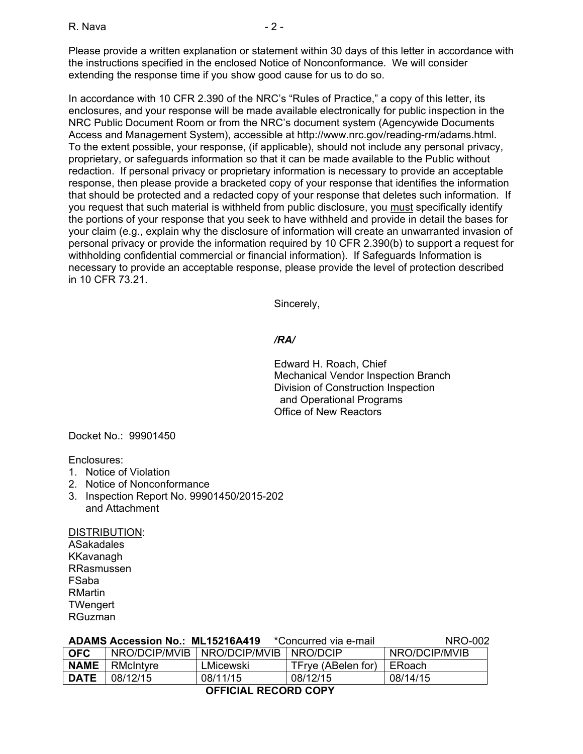Please provide a written explanation or statement within 30 days of this letter in accordance with the instructions specified in the enclosed Notice of Nonconformance. We will consider extending the response time if you show good cause for us to do so.

In accordance with 10 CFR 2.390 of the NRC's "Rules of Practice," a copy of this letter, its enclosures, and your response will be made available electronically for public inspection in the NRC Public Document Room or from the NRC's document system (Agencywide Documents Access and Management System), accessible at http://www.nrc.gov/reading-rm/adams.html. To the extent possible, your response, (if applicable), should not include any personal privacy, proprietary, or safeguards information so that it can be made available to the Public without redaction. If personal privacy or proprietary information is necessary to provide an acceptable response, then please provide a bracketed copy of your response that identifies the information that should be protected and a redacted copy of your response that deletes such information. If you request that such material is withheld from public disclosure, you must specifically identify the portions of your response that you seek to have withheld and provide in detail the bases for your claim (e.g., explain why the disclosure of information will create an unwarranted invasion of personal privacy or provide the information required by 10 CFR 2.390(b) to support a request for withholding confidential commercial or financial information). If Safeguards Information is necessary to provide an acceptable response, please provide the level of protection described in 10 CFR 73.21.

Sincerely,

### */RA/*

Edward H. Roach, Chief Mechanical Vendor Inspection Branch Division of Construction Inspection and Operational Programs Office of New Reactors

Docket No.: 99901450

Enclosures:

- 1. Notice of Violation
- 2. Notice of Nonconformance
- 3. Inspection Report No. 99901450/2015-202 and Attachment

DISTRIBUTION:

ASakadales **KKavanagh** RRasmussen FSaba RMartin **TWengert** RGuzman

|                      | <b>ADAMS Accession No.: ML15216A419</b> | NRO-002   |                    |               |  |
|----------------------|-----------------------------------------|-----------|--------------------|---------------|--|
| <b>OFC</b>           | NRO/DCIP/MVIB   NRO/DCIP/MVIB           |           | NRO/DCIP           | NRO/DCIP/MVIB |  |
| <b>NAME</b>          | RMcIntyre                               | LMicewski | TFrye (ABelen for) | ERoach        |  |
| <b>DATE</b>          | 08/12/15                                | 08/11/15  | 08/12/15           | 08/14/15      |  |
| OEEICIAI DECODD CODV |                                         |           |                    |               |  |

## **OFFICIAL RECORD COPY**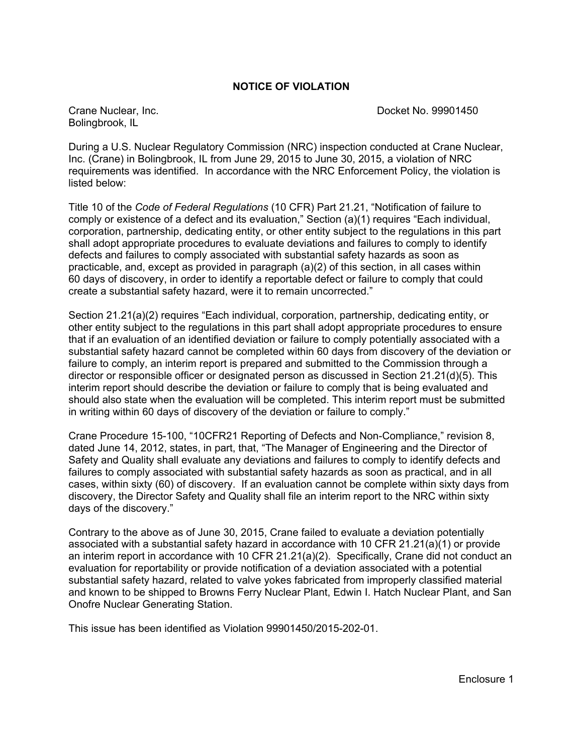### **NOTICE OF VIOLATION**

Bolingbrook, IL

Crane Nuclear, Inc. Docket No. 99901450

During a U.S. Nuclear Regulatory Commission (NRC) inspection conducted at Crane Nuclear, Inc. (Crane) in Bolingbrook, IL from June 29, 2015 to June 30, 2015, a violation of NRC requirements was identified. In accordance with the NRC Enforcement Policy, the violation is listed below:

Title 10 of the *Code of Federal Regulations* (10 CFR) Part 21.21, "Notification of failure to comply or existence of a defect and its evaluation," Section (a)(1) requires "Each individual, corporation, partnership, dedicating entity, or other entity subject to the regulations in this part shall adopt appropriate procedures to evaluate deviations and failures to comply to identify defects and failures to comply associated with substantial safety hazards as soon as practicable, and, except as provided in paragraph (a)(2) of this section, in all cases within 60 days of discovery, in order to identify a reportable defect or failure to comply that could create a substantial safety hazard, were it to remain uncorrected."

Section 21.21(a)(2) requires "Each individual, corporation, partnership, dedicating entity, or other entity subject to the regulations in this part shall adopt appropriate procedures to ensure that if an evaluation of an identified deviation or failure to comply potentially associated with a substantial safety hazard cannot be completed within 60 days from discovery of the deviation or failure to comply, an interim report is prepared and submitted to the Commission through a director or responsible officer or designated person as discussed in Section 21.21(d)(5). This interim report should describe the deviation or failure to comply that is being evaluated and should also state when the evaluation will be completed. This interim report must be submitted in writing within 60 days of discovery of the deviation or failure to comply."

Crane Procedure 15-100, "10CFR21 Reporting of Defects and Non-Compliance," revision 8, dated June 14, 2012, states, in part, that, "The Manager of Engineering and the Director of Safety and Quality shall evaluate any deviations and failures to comply to identify defects and failures to comply associated with substantial safety hazards as soon as practical, and in all cases, within sixty (60) of discovery. If an evaluation cannot be complete within sixty days from discovery, the Director Safety and Quality shall file an interim report to the NRC within sixty days of the discovery."

Contrary to the above as of June 30, 2015, Crane failed to evaluate a deviation potentially associated with a substantial safety hazard in accordance with 10 CFR 21.21(a)(1) or provide an interim report in accordance with 10 CFR 21.21(a)(2). Specifically, Crane did not conduct an evaluation for reportability or provide notification of a deviation associated with a potential substantial safety hazard, related to valve yokes fabricated from improperly classified material and known to be shipped to Browns Ferry Nuclear Plant, Edwin I. Hatch Nuclear Plant, and San Onofre Nuclear Generating Station.

This issue has been identified as Violation 99901450/2015-202-01.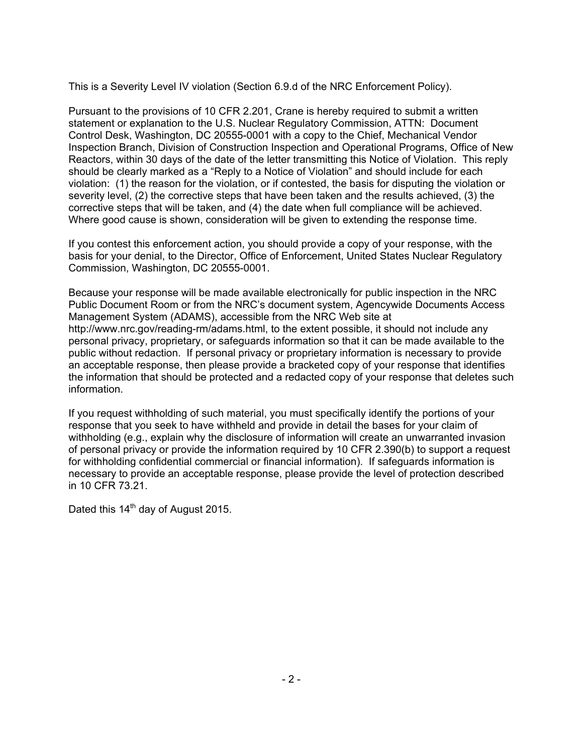This is a Severity Level IV violation (Section 6.9.d of the NRC Enforcement Policy).

Pursuant to the provisions of 10 CFR 2.201, Crane is hereby required to submit a written statement or explanation to the U.S. Nuclear Regulatory Commission, ATTN: Document Control Desk, Washington, DC 20555-0001 with a copy to the Chief, Mechanical Vendor Inspection Branch, Division of Construction Inspection and Operational Programs, Office of New Reactors, within 30 days of the date of the letter transmitting this Notice of Violation. This reply should be clearly marked as a "Reply to a Notice of Violation" and should include for each violation: (1) the reason for the violation, or if contested, the basis for disputing the violation or severity level, (2) the corrective steps that have been taken and the results achieved, (3) the corrective steps that will be taken, and (4) the date when full compliance will be achieved. Where good cause is shown, consideration will be given to extending the response time.

If you contest this enforcement action, you should provide a copy of your response, with the basis for your denial, to the Director, Office of Enforcement, United States Nuclear Regulatory Commission, Washington, DC 20555-0001.

Because your response will be made available electronically for public inspection in the NRC Public Document Room or from the NRC's document system, Agencywide Documents Access Management System (ADAMS), accessible from the NRC Web site at http://www.nrc.gov/reading-rm/adams.html, to the extent possible, it should not include any personal privacy, proprietary, or safeguards information so that it can be made available to the public without redaction. If personal privacy or proprietary information is necessary to provide an acceptable response, then please provide a bracketed copy of your response that identifies the information that should be protected and a redacted copy of your response that deletes such information.

If you request withholding of such material, you must specifically identify the portions of your response that you seek to have withheld and provide in detail the bases for your claim of withholding (e.g., explain why the disclosure of information will create an unwarranted invasion of personal privacy or provide the information required by 10 CFR 2.390(b) to support a request for withholding confidential commercial or financial information). If safeguards information is necessary to provide an acceptable response, please provide the level of protection described in 10 CFR 73.21.

Dated this 14<sup>th</sup> day of August 2015.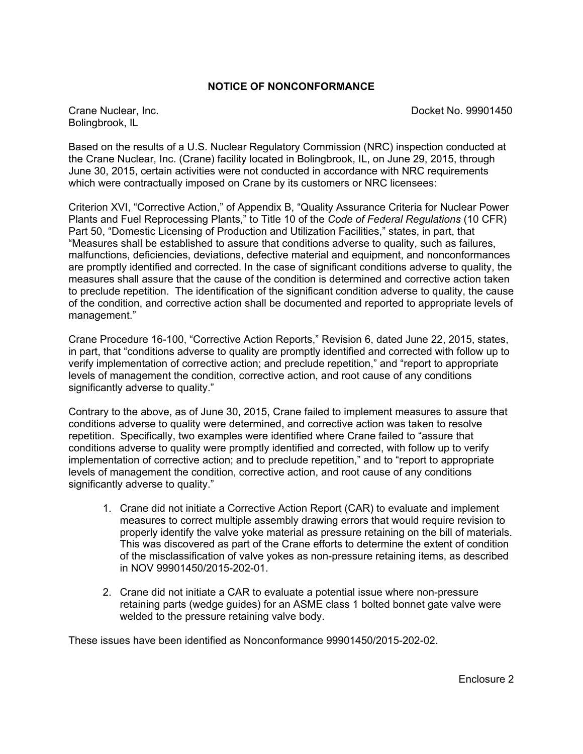### **NOTICE OF NONCONFORMANCE**

Bolingbrook, IL

Crane Nuclear, Inc. Docket No. 99901450

Based on the results of a U.S. Nuclear Regulatory Commission (NRC) inspection conducted at the Crane Nuclear, Inc. (Crane) facility located in Bolingbrook, IL, on June 29, 2015, through June 30, 2015, certain activities were not conducted in accordance with NRC requirements which were contractually imposed on Crane by its customers or NRC licensees:

Criterion XVI, "Corrective Action," of Appendix B, "Quality Assurance Criteria for Nuclear Power Plants and Fuel Reprocessing Plants," to Title 10 of the *Code of Federal Regulations* (10 CFR) Part 50, "Domestic Licensing of Production and Utilization Facilities," states, in part, that "Measures shall be established to assure that conditions adverse to quality, such as failures, malfunctions, deficiencies, deviations, defective material and equipment, and nonconformances are promptly identified and corrected. In the case of significant conditions adverse to quality, the measures shall assure that the cause of the condition is determined and corrective action taken to preclude repetition. The identification of the significant condition adverse to quality, the cause of the condition, and corrective action shall be documented and reported to appropriate levels of management."

Crane Procedure 16-100, "Corrective Action Reports," Revision 6, dated June 22, 2015, states, in part, that "conditions adverse to quality are promptly identified and corrected with follow up to verify implementation of corrective action; and preclude repetition," and "report to appropriate levels of management the condition, corrective action, and root cause of any conditions significantly adverse to quality."

Contrary to the above, as of June 30, 2015, Crane failed to implement measures to assure that conditions adverse to quality were determined, and corrective action was taken to resolve repetition. Specifically, two examples were identified where Crane failed to "assure that conditions adverse to quality were promptly identified and corrected, with follow up to verify implementation of corrective action; and to preclude repetition," and to "report to appropriate levels of management the condition, corrective action, and root cause of any conditions significantly adverse to quality."

- 1. Crane did not initiate a Corrective Action Report (CAR) to evaluate and implement measures to correct multiple assembly drawing errors that would require revision to properly identify the valve yoke material as pressure retaining on the bill of materials. This was discovered as part of the Crane efforts to determine the extent of condition of the misclassification of valve yokes as non-pressure retaining items, as described in NOV 99901450/2015-202-01.
- 2. Crane did not initiate a CAR to evaluate a potential issue where non-pressure retaining parts (wedge guides) for an ASME class 1 bolted bonnet gate valve were welded to the pressure retaining valve body.

These issues have been identified as Nonconformance 99901450/2015-202-02.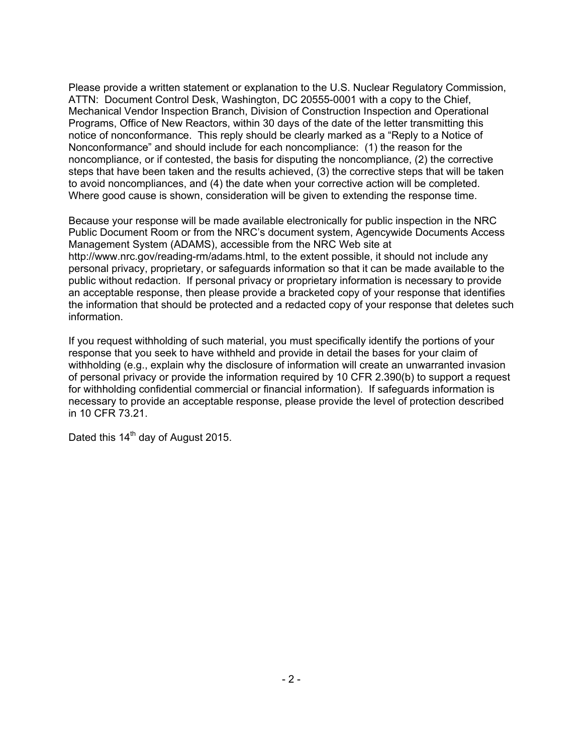Please provide a written statement or explanation to the U.S. Nuclear Regulatory Commission, ATTN: Document Control Desk, Washington, DC 20555-0001 with a copy to the Chief, Mechanical Vendor Inspection Branch, Division of Construction Inspection and Operational Programs, Office of New Reactors, within 30 days of the date of the letter transmitting this notice of nonconformance. This reply should be clearly marked as a "Reply to a Notice of Nonconformance" and should include for each noncompliance: (1) the reason for the noncompliance, or if contested, the basis for disputing the noncompliance, (2) the corrective steps that have been taken and the results achieved, (3) the corrective steps that will be taken to avoid noncompliances, and (4) the date when your corrective action will be completed. Where good cause is shown, consideration will be given to extending the response time.

Because your response will be made available electronically for public inspection in the NRC Public Document Room or from the NRC's document system, Agencywide Documents Access Management System (ADAMS), accessible from the NRC Web site at http://www.nrc.gov/reading-rm/adams.html, to the extent possible, it should not include any personal privacy, proprietary, or safeguards information so that it can be made available to the public without redaction. If personal privacy or proprietary information is necessary to provide an acceptable response, then please provide a bracketed copy of your response that identifies the information that should be protected and a redacted copy of your response that deletes such information.

If you request withholding of such material, you must specifically identify the portions of your response that you seek to have withheld and provide in detail the bases for your claim of withholding (e.g., explain why the disclosure of information will create an unwarranted invasion of personal privacy or provide the information required by 10 CFR 2.390(b) to support a request for withholding confidential commercial or financial information). If safeguards information is necessary to provide an acceptable response, please provide the level of protection described in 10 CFR 73.21.

Dated this 14<sup>th</sup> day of August 2015.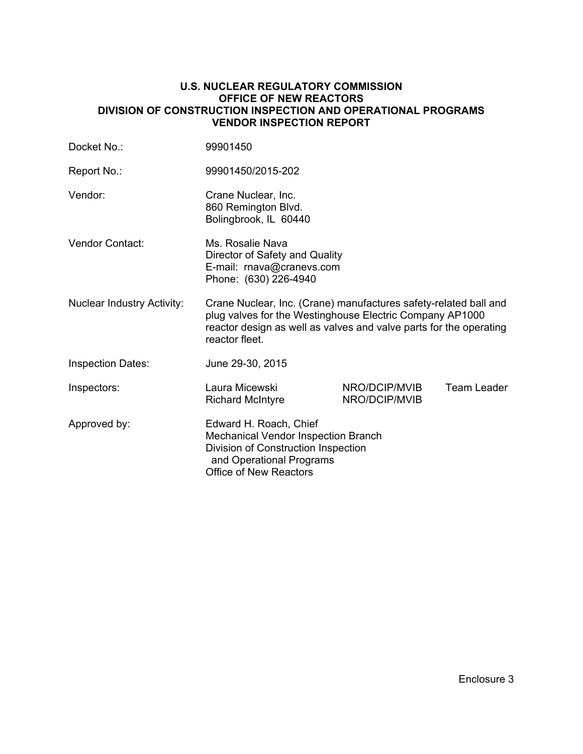#### **U.S. NUCLEAR REGULATORY COMMISSION OFFICE OF NEW REACTORS DIVISION OF CONSTRUCTION INSPECTION AND OPERATIONAL PROGRAMS VENDOR INSPECTION REPORT**

| Docket No.:                       | 99901450                                                                                                                                                                                                             |                                |             |
|-----------------------------------|----------------------------------------------------------------------------------------------------------------------------------------------------------------------------------------------------------------------|--------------------------------|-------------|
| Report No.:                       | 99901450/2015-202                                                                                                                                                                                                    |                                |             |
| Vendor:                           | Crane Nuclear, Inc.<br>860 Remington Blvd.<br>Bolingbrook, IL 60440                                                                                                                                                  |                                |             |
| Vendor Contact:                   | Ms. Rosalie Nava<br>Director of Safety and Quality<br>E-mail: rnava@cranevs.com<br>Phone: (630) 226-4940                                                                                                             |                                |             |
| <b>Nuclear Industry Activity:</b> | Crane Nuclear, Inc. (Crane) manufactures safety-related ball and<br>plug valves for the Westinghouse Electric Company AP1000<br>reactor design as well as valves and valve parts for the operating<br>reactor fleet. |                                |             |
| <b>Inspection Dates:</b>          | June 29-30, 2015                                                                                                                                                                                                     |                                |             |
| Inspectors:                       | Laura Micewski<br><b>Richard McIntyre</b>                                                                                                                                                                            | NRO/DCIP/MVIB<br>NRO/DCIP/MVIB | Team Leader |
| Approved by:                      | Edward H. Roach, Chief<br><b>Mechanical Vendor Inspection Branch</b><br>Division of Construction Inspection<br>and Operational Programs<br><b>Office of New Reactors</b>                                             |                                |             |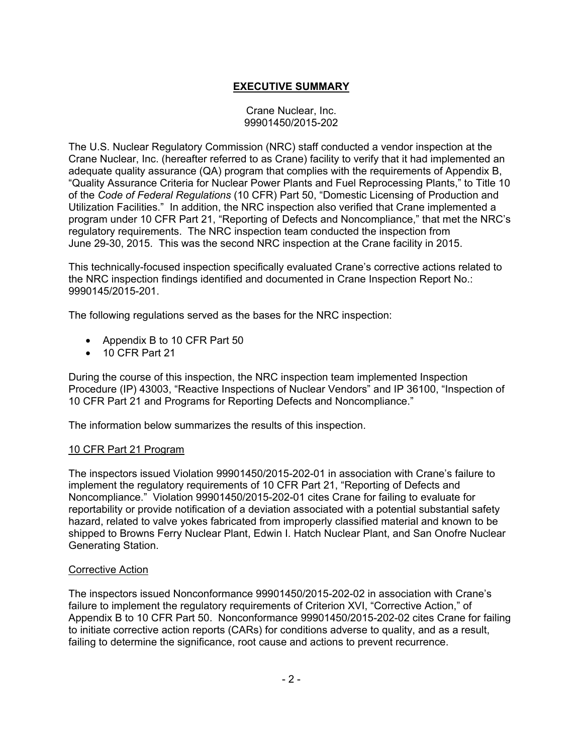# **EXECUTIVE SUMMARY**

### Crane Nuclear, Inc. 99901450/2015-202

The U.S. Nuclear Regulatory Commission (NRC) staff conducted a vendor inspection at the Crane Nuclear, Inc. (hereafter referred to as Crane) facility to verify that it had implemented an adequate quality assurance (QA) program that complies with the requirements of Appendix B, "Quality Assurance Criteria for Nuclear Power Plants and Fuel Reprocessing Plants," to Title 10 of the *Code of Federal Regulations* (10 CFR) Part 50, "Domestic Licensing of Production and Utilization Facilities." In addition, the NRC inspection also verified that Crane implemented a program under 10 CFR Part 21, "Reporting of Defects and Noncompliance," that met the NRC's regulatory requirements. The NRC inspection team conducted the inspection from June 29-30, 2015. This was the second NRC inspection at the Crane facility in 2015.

This technically-focused inspection specifically evaluated Crane's corrective actions related to the NRC inspection findings identified and documented in Crane Inspection Report No.: 9990145/2015-201.

The following regulations served as the bases for the NRC inspection:

- Appendix B to 10 CFR Part 50
- 10 CFR Part 21

During the course of this inspection, the NRC inspection team implemented Inspection Procedure (IP) 43003, "Reactive Inspections of Nuclear Vendors" and IP 36100, "Inspection of 10 CFR Part 21 and Programs for Reporting Defects and Noncompliance."

The information below summarizes the results of this inspection.

## 10 CFR Part 21 Program

The inspectors issued Violation 99901450/2015-202-01 in association with Crane's failure to implement the regulatory requirements of 10 CFR Part 21, "Reporting of Defects and Noncompliance." Violation 99901450/2015-202-01 cites Crane for failing to evaluate for reportability or provide notification of a deviation associated with a potential substantial safety hazard, related to valve yokes fabricated from improperly classified material and known to be shipped to Browns Ferry Nuclear Plant, Edwin I. Hatch Nuclear Plant, and San Onofre Nuclear Generating Station.

#### Corrective Action

The inspectors issued Nonconformance 99901450/2015-202-02 in association with Crane's failure to implement the regulatory requirements of Criterion XVI, "Corrective Action," of Appendix B to 10 CFR Part 50. Nonconformance 99901450/2015-202-02 cites Crane for failing to initiate corrective action reports (CARs) for conditions adverse to quality, and as a result, failing to determine the significance, root cause and actions to prevent recurrence.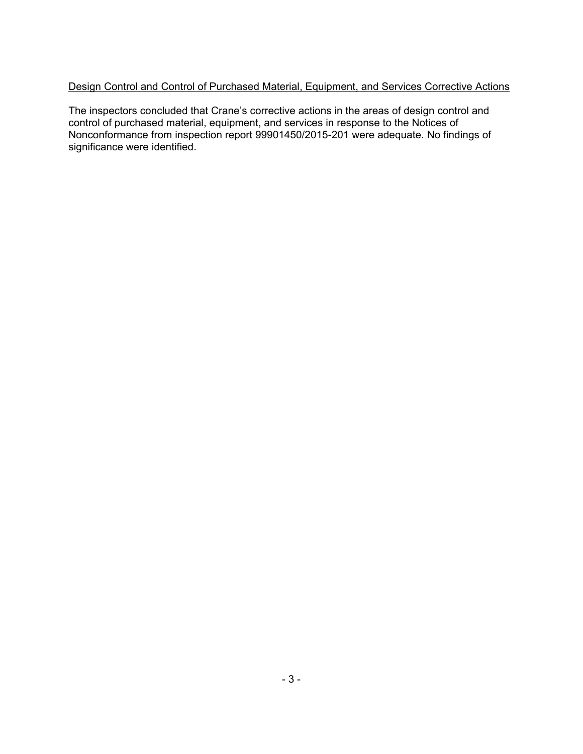# Design Control and Control of Purchased Material, Equipment, and Services Corrective Actions

The inspectors concluded that Crane's corrective actions in the areas of design control and control of purchased material, equipment, and services in response to the Notices of Nonconformance from inspection report 99901450/2015-201 were adequate. No findings of significance were identified.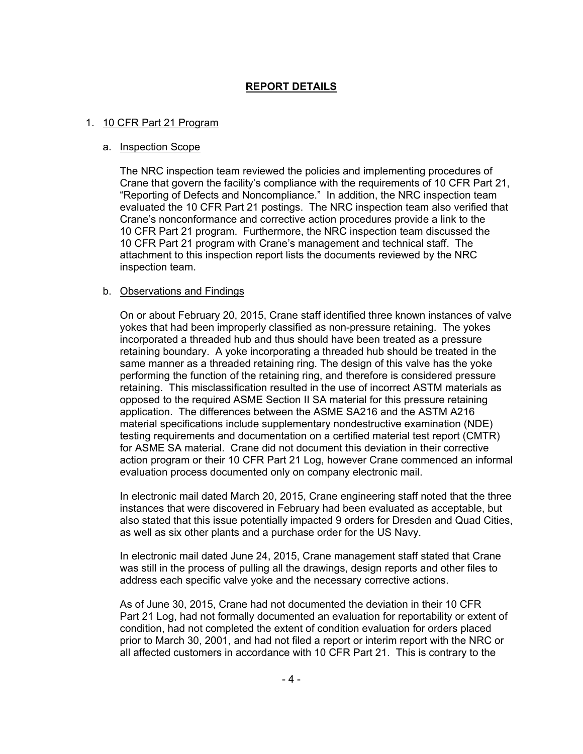# **REPORT DETAILS**

### 1. 10 CFR Part 21 Program

#### a. Inspection Scope

The NRC inspection team reviewed the policies and implementing procedures of Crane that govern the facility's compliance with the requirements of 10 CFR Part 21, "Reporting of Defects and Noncompliance." In addition, the NRC inspection team evaluated the 10 CFR Part 21 postings. The NRC inspection team also verified that Crane's nonconformance and corrective action procedures provide a link to the 10 CFR Part 21 program. Furthermore, the NRC inspection team discussed the 10 CFR Part 21 program with Crane's management and technical staff. The attachment to this inspection report lists the documents reviewed by the NRC inspection team.

### b. Observations and Findings

On or about February 20, 2015, Crane staff identified three known instances of valve yokes that had been improperly classified as non-pressure retaining. The yokes incorporated a threaded hub and thus should have been treated as a pressure retaining boundary. A yoke incorporating a threaded hub should be treated in the same manner as a threaded retaining ring. The design of this valve has the yoke performing the function of the retaining ring, and therefore is considered pressure retaining. This misclassification resulted in the use of incorrect ASTM materials as opposed to the required ASME Section II SA material for this pressure retaining application. The differences between the ASME SA216 and the ASTM A216 material specifications include supplementary nondestructive examination (NDE) testing requirements and documentation on a certified material test report (CMTR) for ASME SA material. Crane did not document this deviation in their corrective action program or their 10 CFR Part 21 Log, however Crane commenced an informal evaluation process documented only on company electronic mail.

In electronic mail dated March 20, 2015, Crane engineering staff noted that the three instances that were discovered in February had been evaluated as acceptable, but also stated that this issue potentially impacted 9 orders for Dresden and Quad Cities, as well as six other plants and a purchase order for the US Navy.

In electronic mail dated June 24, 2015, Crane management staff stated that Crane was still in the process of pulling all the drawings, design reports and other files to address each specific valve yoke and the necessary corrective actions.

As of June 30, 2015, Crane had not documented the deviation in their 10 CFR Part 21 Log, had not formally documented an evaluation for reportability or extent of condition, had not completed the extent of condition evaluation for orders placed prior to March 30, 2001, and had not filed a report or interim report with the NRC or all affected customers in accordance with 10 CFR Part 21. This is contrary to the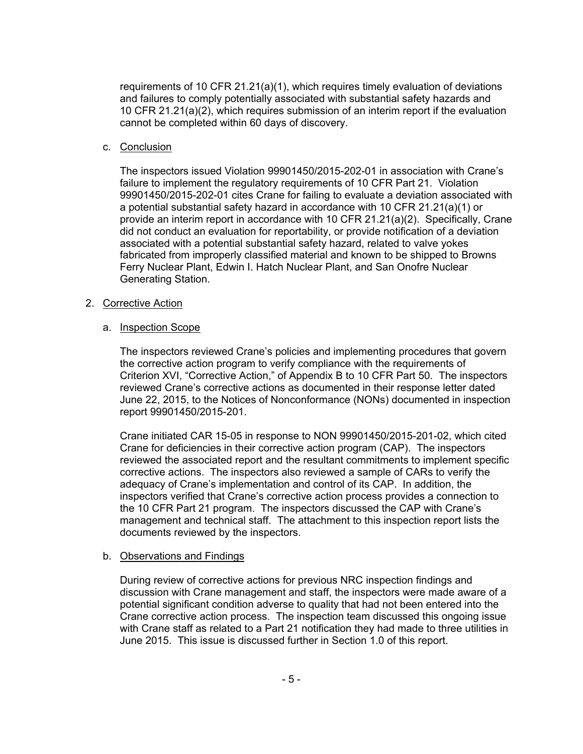requirements of 10 CFR 21.21(a)(1), which requires timely evaluation of deviations and failures to comply potentially associated with substantial safety hazards and 10 CFR 21.21(a)(2), which requires submission of an interim report if the evaluation cannot be completed within 60 days of discovery.

## c. Conclusion

The inspectors issued Violation 99901450/2015-202-01 in association with Crane's failure to implement the regulatory requirements of 10 CFR Part 21. Violation 99901450/2015-202-01 cites Crane for failing to evaluate a deviation associated with a potential substantial safety hazard in accordance with 10 CFR 21.21(a)(1) or provide an interim report in accordance with 10 CFR 21.21(a)(2). Specifically, Crane did not conduct an evaluation for reportability, or provide notification of a deviation associated with a potential substantial safety hazard, related to valve yokes fabricated from improperly classified material and known to be shipped to Browns Ferry Nuclear Plant, Edwin I. Hatch Nuclear Plant, and San Onofre Nuclear Generating Station.

## 2. Corrective Action

## a. Inspection Scope

The inspectors reviewed Crane's policies and implementing procedures that govern the corrective action program to verify compliance with the requirements of Criterion XVI, "Corrective Action," of Appendix B to 10 CFR Part 50. The inspectors reviewed Crane's corrective actions as documented in their response letter dated June 22, 2015, to the Notices of Nonconformance (NONs) documented in inspection report 99901450/2015-201.

Crane initiated CAR 15-05 in response to NON 99901450/2015-201-02, which cited Crane for deficiencies in their corrective action program (CAP). The inspectors reviewed the associated report and the resultant commitments to implement specific corrective actions. The inspectors also reviewed a sample of CARs to verify the adequacy of Crane's implementation and control of its CAP. In addition, the inspectors verified that Crane's corrective action process provides a connection to the 10 CFR Part 21 program. The inspectors discussed the CAP with Crane's management and technical staff. The attachment to this inspection report lists the documents reviewed by the inspectors.

## b. Observations and Findings

During review of corrective actions for previous NRC inspection findings and discussion with Crane management and staff, the inspectors were made aware of a potential significant condition adverse to quality that had not been entered into the Crane corrective action process. The inspection team discussed this ongoing issue with Crane staff as related to a Part 21 notification they had made to three utilities in June 2015. This issue is discussed further in Section 1.0 of this report.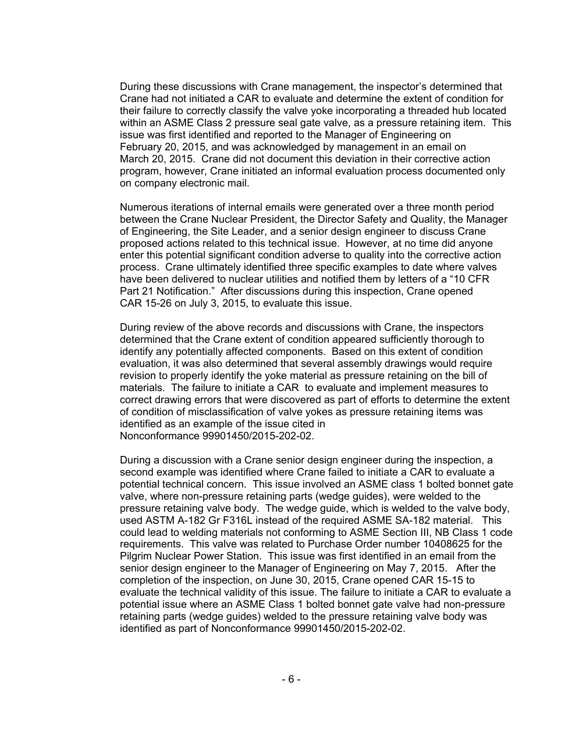During these discussions with Crane management, the inspector's determined that Crane had not initiated a CAR to evaluate and determine the extent of condition for their failure to correctly classify the valve yoke incorporating a threaded hub located within an ASME Class 2 pressure seal gate valve, as a pressure retaining item. This issue was first identified and reported to the Manager of Engineering on February 20, 2015, and was acknowledged by management in an email on March 20, 2015. Crane did not document this deviation in their corrective action program, however, Crane initiated an informal evaluation process documented only on company electronic mail.

Numerous iterations of internal emails were generated over a three month period between the Crane Nuclear President, the Director Safety and Quality, the Manager of Engineering, the Site Leader, and a senior design engineer to discuss Crane proposed actions related to this technical issue. However, at no time did anyone enter this potential significant condition adverse to quality into the corrective action process. Crane ultimately identified three specific examples to date where valves have been delivered to nuclear utilities and notified them by letters of a "10 CFR Part 21 Notification." After discussions during this inspection, Crane opened CAR 15-26 on July 3, 2015, to evaluate this issue.

During review of the above records and discussions with Crane, the inspectors determined that the Crane extent of condition appeared sufficiently thorough to identify any potentially affected components. Based on this extent of condition evaluation, it was also determined that several assembly drawings would require revision to properly identify the yoke material as pressure retaining on the bill of materials. The failure to initiate a CAR to evaluate and implement measures to correct drawing errors that were discovered as part of efforts to determine the extent of condition of misclassification of valve yokes as pressure retaining items was identified as an example of the issue cited in Nonconformance 99901450/2015-202-02.

During a discussion with a Crane senior design engineer during the inspection, a second example was identified where Crane failed to initiate a CAR to evaluate a potential technical concern. This issue involved an ASME class 1 bolted bonnet gate valve, where non-pressure retaining parts (wedge guides), were welded to the pressure retaining valve body. The wedge guide, which is welded to the valve body, used ASTM A-182 Gr F316L instead of the required ASME SA-182 material. This could lead to welding materials not conforming to ASME Section III, NB Class 1 code requirements. This valve was related to Purchase Order number 10408625 for the Pilgrim Nuclear Power Station. This issue was first identified in an email from the senior design engineer to the Manager of Engineering on May 7, 2015. After the completion of the inspection, on June 30, 2015, Crane opened CAR 15-15 to evaluate the technical validity of this issue. The failure to initiate a CAR to evaluate a potential issue where an ASME Class 1 bolted bonnet gate valve had non-pressure retaining parts (wedge guides) welded to the pressure retaining valve body was identified as part of Nonconformance 99901450/2015-202-02.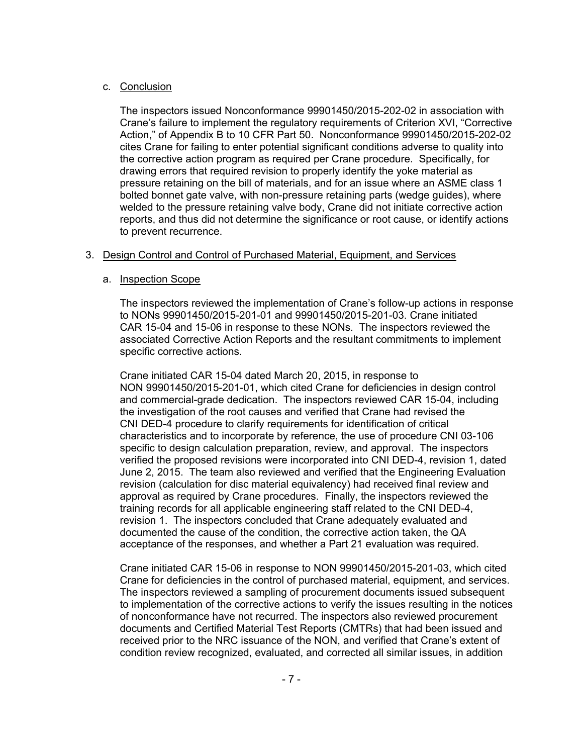## c. Conclusion

The inspectors issued Nonconformance 99901450/2015-202-02 in association with Crane's failure to implement the regulatory requirements of Criterion XVI, "Corrective Action," of Appendix B to 10 CFR Part 50. Nonconformance 99901450/2015-202-02 cites Crane for failing to enter potential significant conditions adverse to quality into the corrective action program as required per Crane procedure. Specifically, for drawing errors that required revision to properly identify the yoke material as pressure retaining on the bill of materials, and for an issue where an ASME class 1 bolted bonnet gate valve, with non-pressure retaining parts (wedge guides), where welded to the pressure retaining valve body, Crane did not initiate corrective action reports, and thus did not determine the significance or root cause, or identify actions to prevent recurrence.

# 3. Design Control and Control of Purchased Material, Equipment, and Services

## a. Inspection Scope

The inspectors reviewed the implementation of Crane's follow-up actions in response to NONs 99901450/2015-201-01 and 99901450/2015-201-03. Crane initiated CAR 15-04 and 15-06 in response to these NONs. The inspectors reviewed the associated Corrective Action Reports and the resultant commitments to implement specific corrective actions.

Crane initiated CAR 15-04 dated March 20, 2015, in response to NON 99901450/2015-201-01, which cited Crane for deficiencies in design control and commercial-grade dedication. The inspectors reviewed CAR 15-04, including the investigation of the root causes and verified that Crane had revised the CNI DED-4 procedure to clarify requirements for identification of critical characteristics and to incorporate by reference, the use of procedure CNI 03-106 specific to design calculation preparation, review, and approval. The inspectors verified the proposed revisions were incorporated into CNI DED-4, revision 1, dated June 2, 2015. The team also reviewed and verified that the Engineering Evaluation revision (calculation for disc material equivalency) had received final review and approval as required by Crane procedures. Finally, the inspectors reviewed the training records for all applicable engineering staff related to the CNI DED-4, revision 1. The inspectors concluded that Crane adequately evaluated and documented the cause of the condition, the corrective action taken, the QA acceptance of the responses, and whether a Part 21 evaluation was required.

Crane initiated CAR 15-06 in response to NON 99901450/2015-201-03, which cited Crane for deficiencies in the control of purchased material, equipment, and services. The inspectors reviewed a sampling of procurement documents issued subsequent to implementation of the corrective actions to verify the issues resulting in the notices of nonconformance have not recurred. The inspectors also reviewed procurement documents and Certified Material Test Reports (CMTRs) that had been issued and received prior to the NRC issuance of the NON, and verified that Crane's extent of condition review recognized, evaluated, and corrected all similar issues, in addition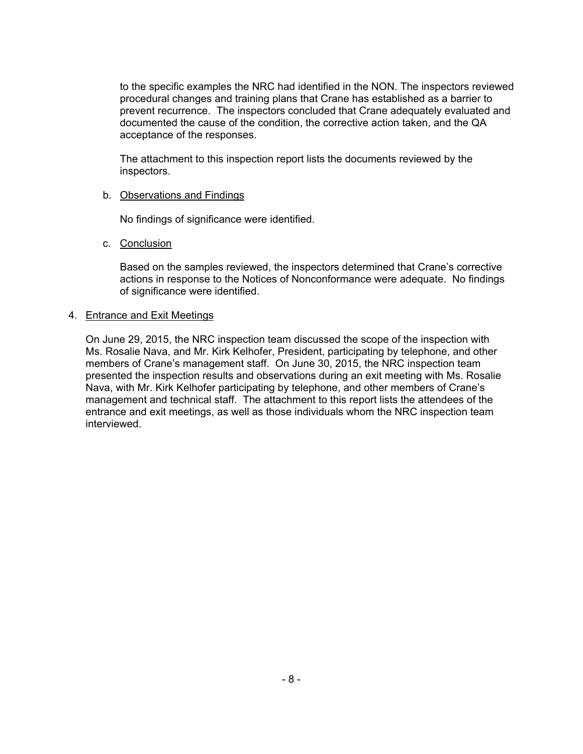to the specific examples the NRC had identified in the NON. The inspectors reviewed procedural changes and training plans that Crane has established as a barrier to prevent recurrence. The inspectors concluded that Crane adequately evaluated and documented the cause of the condition, the corrective action taken, and the QA acceptance of the responses.

The attachment to this inspection report lists the documents reviewed by the inspectors.

### b. Observations and Findings

No findings of significance were identified.

c. Conclusion

Based on the samples reviewed, the inspectors determined that Crane's corrective actions in response to the Notices of Nonconformance were adequate. No findings of significance were identified.

### 4. Entrance and Exit Meetings

On June 29, 2015, the NRC inspection team discussed the scope of the inspection with Ms. Rosalie Nava, and Mr. Kirk Kelhofer, President, participating by telephone, and other members of Crane's management staff. On June 30, 2015, the NRC inspection team presented the inspection results and observations during an exit meeting with Ms. Rosalie Nava, with Mr. Kirk Kelhofer participating by telephone, and other members of Crane's management and technical staff. The attachment to this report lists the attendees of the entrance and exit meetings, as well as those individuals whom the NRC inspection team interviewed.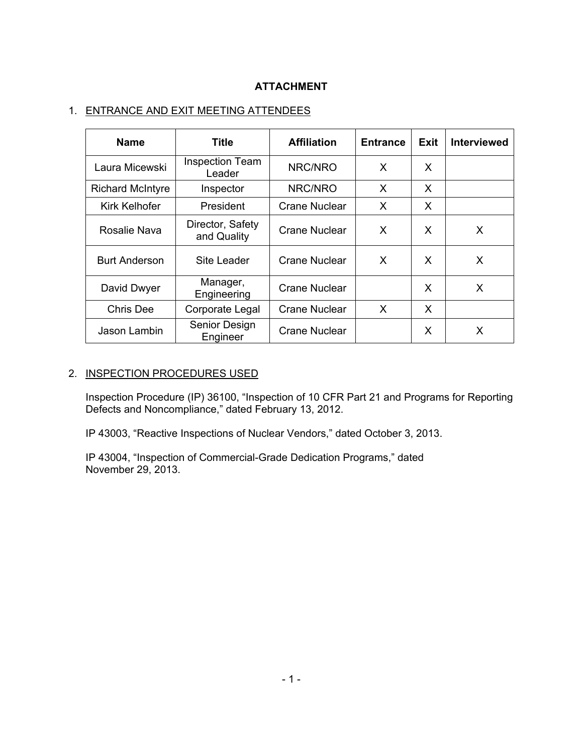# **ATTACHMENT**

# 1. ENTRANCE AND EXIT MEETING ATTENDEES

| <b>Name</b>             | <b>Title</b>                     | <b>Affiliation</b><br><b>Entrance</b> |   | Exit | <b>Interviewed</b> |
|-------------------------|----------------------------------|---------------------------------------|---|------|--------------------|
| Laura Micewski          | <b>Inspection Team</b><br>Leader | NRC/NRO                               | X | X    |                    |
| <b>Richard McIntyre</b> | Inspector                        | NRC/NRO                               | X | X    |                    |
| Kirk Kelhofer           | President                        | <b>Crane Nuclear</b>                  | X | X    |                    |
| Rosalie Nava            | Director, Safety<br>and Quality  | Crane Nuclear                         | X | X    | X                  |
| <b>Burt Anderson</b>    | <b>Site Leader</b>               | <b>Crane Nuclear</b>                  | X | X    | X                  |
| David Dwyer             | Manager,<br>Engineering          | Crane Nuclear                         |   | X    | X                  |
| <b>Chris Dee</b>        | Corporate Legal                  | <b>Crane Nuclear</b>                  | X | X    |                    |
| Jason Lambin            | Senior Design<br>Engineer        | <b>Crane Nuclear</b>                  |   | X    | X                  |

# 2. INSPECTION PROCEDURES USED

Inspection Procedure (IP) 36100, "Inspection of 10 CFR Part 21 and Programs for Reporting Defects and Noncompliance," dated February 13, 2012.

IP 43003, "Reactive Inspections of Nuclear Vendors," dated October 3, 2013.

IP 43004, "Inspection of Commercial-Grade Dedication Programs," dated November 29, 2013.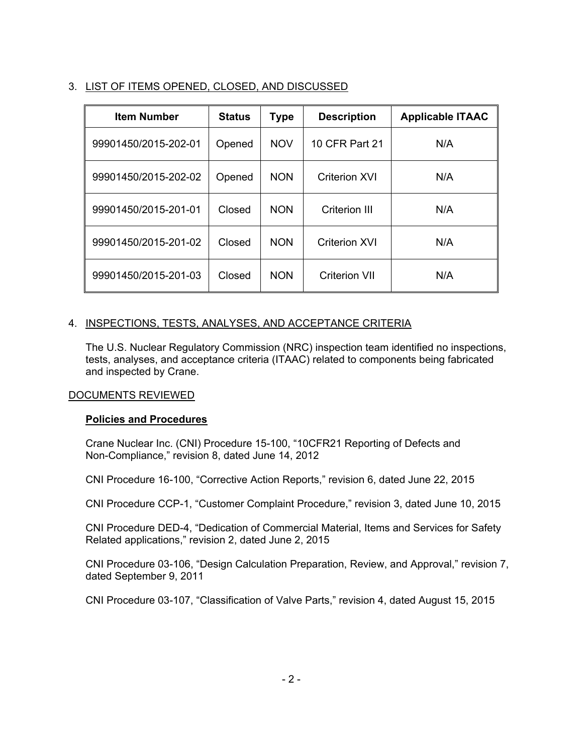# 3. LIST OF ITEMS OPENED, CLOSED, AND DISCUSSED

| <b>Item Number</b>   | <b>Status</b> | Type       | <b>Description</b>   | <b>Applicable ITAAC</b> |
|----------------------|---------------|------------|----------------------|-------------------------|
| 99901450/2015-202-01 | Opened        | <b>NOV</b> | 10 CFR Part 21       | N/A                     |
| 99901450/2015-202-02 | Opened        | <b>NON</b> | <b>Criterion XVI</b> | N/A                     |
| 99901450/2015-201-01 | Closed        | <b>NON</b> | Criterion III        | N/A                     |
| 99901450/2015-201-02 | Closed        | <b>NON</b> | <b>Criterion XVI</b> | N/A                     |
| 99901450/2015-201-03 | Closed        | <b>NON</b> | <b>Criterion VII</b> | N/A                     |

# 4. INSPECTIONS, TESTS, ANALYSES, AND ACCEPTANCE CRITERIA

The U.S. Nuclear Regulatory Commission (NRC) inspection team identified no inspections, tests, analyses, and acceptance criteria (ITAAC) related to components being fabricated and inspected by Crane.

## DOCUMENTS REVIEWED

## **Policies and Procedures**

Crane Nuclear Inc. (CNI) Procedure 15-100, "10CFR21 Reporting of Defects and Non-Compliance," revision 8, dated June 14, 2012

CNI Procedure 16-100, "Corrective Action Reports," revision 6, dated June 22, 2015

CNI Procedure CCP-1, "Customer Complaint Procedure," revision 3, dated June 10, 2015

CNI Procedure DED-4, "Dedication of Commercial Material, Items and Services for Safety Related applications," revision 2, dated June 2, 2015

CNI Procedure 03-106, "Design Calculation Preparation, Review, and Approval," revision 7, dated September 9, 2011

CNI Procedure 03-107, "Classification of Valve Parts," revision 4, dated August 15, 2015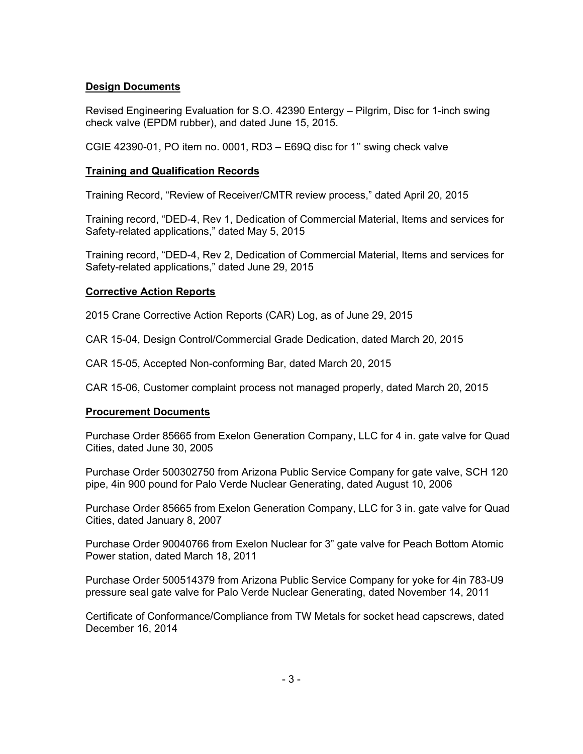## **Design Documents**

Revised Engineering Evaluation for S.O. 42390 Entergy – Pilgrim, Disc for 1-inch swing check valve (EPDM rubber), and dated June 15, 2015.

CGIE 42390-01, PO item no. 0001, RD3 – E69Q disc for 1'' swing check valve

## **Training and Qualification Records**

Training Record, "Review of Receiver/CMTR review process," dated April 20, 2015

Training record, "DED-4, Rev 1, Dedication of Commercial Material, Items and services for Safety-related applications," dated May 5, 2015

Training record, "DED-4, Rev 2, Dedication of Commercial Material, Items and services for Safety-related applications," dated June 29, 2015

## **Corrective Action Reports**

2015 Crane Corrective Action Reports (CAR) Log, as of June 29, 2015

CAR 15-04, Design Control/Commercial Grade Dedication, dated March 20, 2015

CAR 15-05, Accepted Non-conforming Bar, dated March 20, 2015

CAR 15-06, Customer complaint process not managed properly, dated March 20, 2015

# **Procurement Documents**

Purchase Order 85665 from Exelon Generation Company, LLC for 4 in. gate valve for Quad Cities, dated June 30, 2005

Purchase Order 500302750 from Arizona Public Service Company for gate valve, SCH 120 pipe, 4in 900 pound for Palo Verde Nuclear Generating, dated August 10, 2006

Purchase Order 85665 from Exelon Generation Company, LLC for 3 in. gate valve for Quad Cities, dated January 8, 2007

Purchase Order 90040766 from Exelon Nuclear for 3" gate valve for Peach Bottom Atomic Power station, dated March 18, 2011

Purchase Order 500514379 from Arizona Public Service Company for yoke for 4in 783-U9 pressure seal gate valve for Palo Verde Nuclear Generating, dated November 14, 2011

Certificate of Conformance/Compliance from TW Metals for socket head capscrews, dated December 16, 2014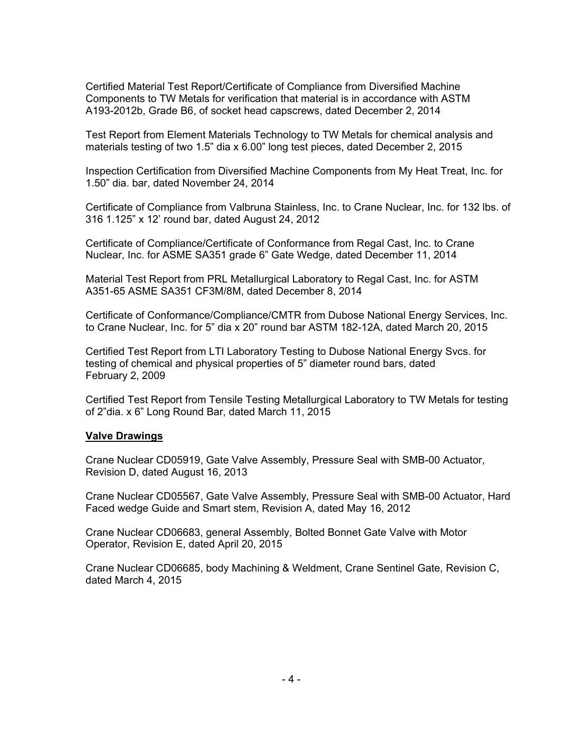Certified Material Test Report/Certificate of Compliance from Diversified Machine Components to TW Metals for verification that material is in accordance with ASTM A193-2012b, Grade B6, of socket head capscrews, dated December 2, 2014

Test Report from Element Materials Technology to TW Metals for chemical analysis and materials testing of two 1.5" dia x 6.00" long test pieces, dated December 2, 2015

Inspection Certification from Diversified Machine Components from My Heat Treat, Inc. for 1.50" dia. bar, dated November 24, 2014

Certificate of Compliance from Valbruna Stainless, Inc. to Crane Nuclear, Inc. for 132 lbs. of 316 1.125" x 12' round bar, dated August 24, 2012

Certificate of Compliance/Certificate of Conformance from Regal Cast, Inc. to Crane Nuclear, Inc. for ASME SA351 grade 6" Gate Wedge, dated December 11, 2014

Material Test Report from PRL Metallurgical Laboratory to Regal Cast, Inc. for ASTM A351-65 ASME SA351 CF3M/8M, dated December 8, 2014

Certificate of Conformance/Compliance/CMTR from Dubose National Energy Services, Inc. to Crane Nuclear, Inc. for 5" dia x 20" round bar ASTM 182-12A, dated March 20, 2015

Certified Test Report from LTI Laboratory Testing to Dubose National Energy Svcs. for testing of chemical and physical properties of 5" diameter round bars, dated February 2, 2009

Certified Test Report from Tensile Testing Metallurgical Laboratory to TW Metals for testing of 2"dia. x 6" Long Round Bar, dated March 11, 2015

#### **Valve Drawings**

Crane Nuclear CD05919, Gate Valve Assembly, Pressure Seal with SMB-00 Actuator, Revision D, dated August 16, 2013

Crane Nuclear CD05567, Gate Valve Assembly, Pressure Seal with SMB-00 Actuator, Hard Faced wedge Guide and Smart stem, Revision A, dated May 16, 2012

Crane Nuclear CD06683, general Assembly, Bolted Bonnet Gate Valve with Motor Operator, Revision E, dated April 20, 2015

Crane Nuclear CD06685, body Machining & Weldment, Crane Sentinel Gate, Revision C, dated March 4, 2015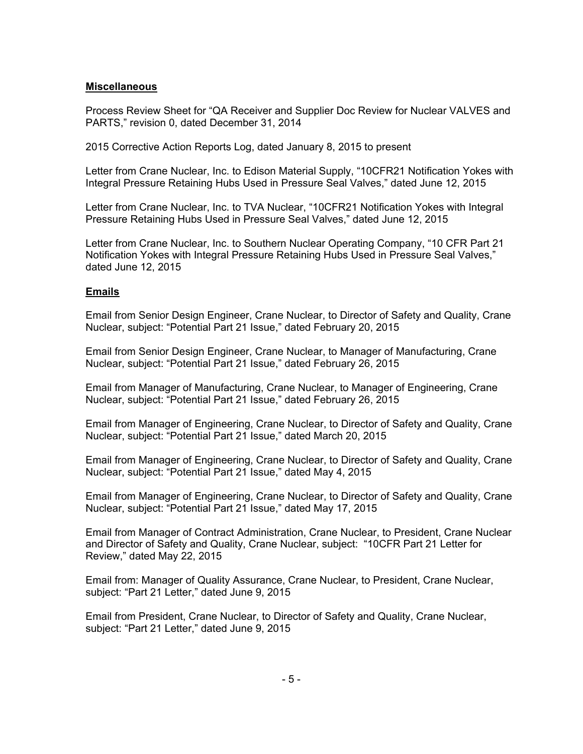### **Miscellaneous**

Process Review Sheet for "QA Receiver and Supplier Doc Review for Nuclear VALVES and PARTS," revision 0, dated December 31, 2014

2015 Corrective Action Reports Log, dated January 8, 2015 to present

Letter from Crane Nuclear, Inc. to Edison Material Supply, "10CFR21 Notification Yokes with Integral Pressure Retaining Hubs Used in Pressure Seal Valves," dated June 12, 2015

Letter from Crane Nuclear, Inc. to TVA Nuclear, "10CFR21 Notification Yokes with Integral Pressure Retaining Hubs Used in Pressure Seal Valves," dated June 12, 2015

Letter from Crane Nuclear, Inc. to Southern Nuclear Operating Company, "10 CFR Part 21 Notification Yokes with Integral Pressure Retaining Hubs Used in Pressure Seal Valves," dated June 12, 2015

## **Emails**

Email from Senior Design Engineer, Crane Nuclear, to Director of Safety and Quality, Crane Nuclear, subject: "Potential Part 21 Issue," dated February 20, 2015

Email from Senior Design Engineer, Crane Nuclear, to Manager of Manufacturing, Crane Nuclear, subject: "Potential Part 21 Issue," dated February 26, 2015

Email from Manager of Manufacturing, Crane Nuclear, to Manager of Engineering, Crane Nuclear, subject: "Potential Part 21 Issue," dated February 26, 2015

Email from Manager of Engineering, Crane Nuclear, to Director of Safety and Quality, Crane Nuclear, subject: "Potential Part 21 Issue," dated March 20, 2015

Email from Manager of Engineering, Crane Nuclear, to Director of Safety and Quality, Crane Nuclear, subject: "Potential Part 21 Issue," dated May 4, 2015

Email from Manager of Engineering, Crane Nuclear, to Director of Safety and Quality, Crane Nuclear, subject: "Potential Part 21 Issue," dated May 17, 2015

Email from Manager of Contract Administration, Crane Nuclear, to President, Crane Nuclear and Director of Safety and Quality, Crane Nuclear, subject: "10CFR Part 21 Letter for Review," dated May 22, 2015

Email from: Manager of Quality Assurance, Crane Nuclear, to President, Crane Nuclear, subject: "Part 21 Letter," dated June 9, 2015

Email from President, Crane Nuclear, to Director of Safety and Quality, Crane Nuclear, subject: "Part 21 Letter," dated June 9, 2015